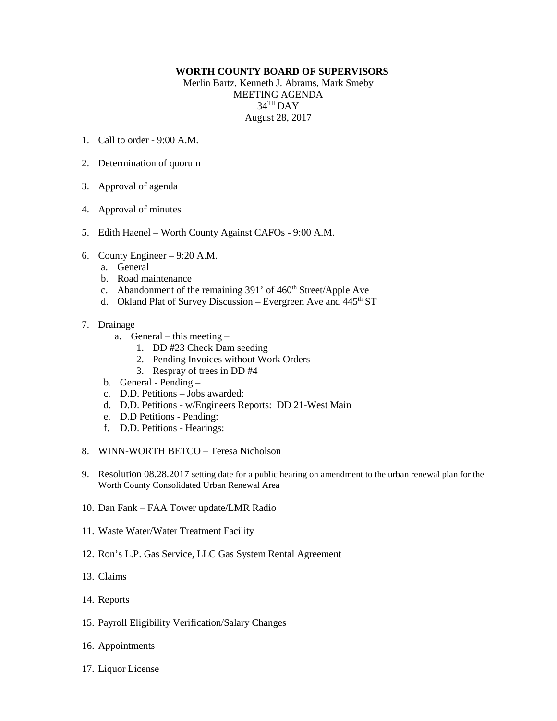## **WORTH COUNTY BOARD OF SUPERVISORS**

Merlin Bartz, Kenneth J. Abrams, Mark Smeby MEETING AGENDA 34TH DAY August 28, 2017

- 1. Call to order 9:00 A.M.
- 2. Determination of quorum
- 3. Approval of agenda
- 4. Approval of minutes
- 5. Edith Haenel Worth County Against CAFOs 9:00 A.M.
- 6. County Engineer 9:20 A.M.
	- a. General
	- b. Road maintenance
	- c. Abandonment of the remaining 391' of 460<sup>th</sup> Street/Apple Ave
	- d. Okland Plat of Survey Discussion Evergreen Ave and 445<sup>th</sup> ST
- 7. Drainage
	- a. General this meeting
		- 1. DD #23 Check Dam seeding
		- 2. Pending Invoices without Work Orders
		- 3. Respray of trees in DD #4
	- b. General Pending –
	- c. D.D. Petitions Jobs awarded:
	- d. D.D. Petitions w/Engineers Reports: DD 21-West Main
	- e. D.D Petitions Pending:
	- f. D.D. Petitions Hearings:
- 8. WINN-WORTH BETCO Teresa Nicholson
- 9. Resolution 08.28.2017 setting date for a public hearing on amendment to the urban renewal plan for the Worth County Consolidated Urban Renewal Area
- 10. Dan Fank FAA Tower update/LMR Radio
- 11. Waste Water/Water Treatment Facility
- 12. Ron's L.P. Gas Service, LLC Gas System Rental Agreement
- 13. Claims
- 14. Reports
- 15. Payroll Eligibility Verification/Salary Changes
- 16. Appointments
- 17. Liquor License